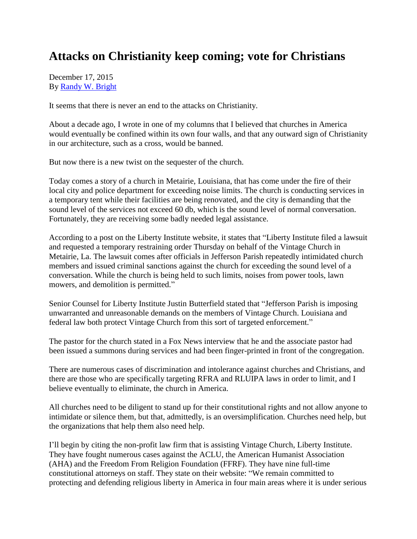## **Attacks on Christianity keep coming; vote for Christians**

December 17, 2015 By [Randy W. Bright](http://www.tulsabeacon.com/author/slug-o6yd1v)

It seems that there is never an end to the attacks on Christianity.

About a decade ago, I wrote in one of my columns that I believed that churches in America would eventually be confined within its own four walls, and that any outward sign of Christianity in our architecture, such as a cross, would be banned.

But now there is a new twist on the sequester of the church.

Today comes a story of a church in Metairie, Louisiana, that has come under the fire of their local city and police department for exceeding noise limits. The church is conducting services in a temporary tent while their facilities are being renovated, and the city is demanding that the sound level of the services not exceed 60 db, which is the sound level of normal conversation. Fortunately, they are receiving some badly needed legal assistance.

According to a post on the Liberty Institute website, it states that "Liberty Institute filed a lawsuit and requested a temporary restraining order Thursday on behalf of the Vintage Church in Metairie, La. The lawsuit comes after officials in Jefferson Parish repeatedly intimidated church members and issued criminal sanctions against the church for exceeding the sound level of a conversation. While the church is being held to such limits, noises from power tools, lawn mowers, and demolition is permitted."

Senior Counsel for Liberty Institute Justin Butterfield stated that "Jefferson Parish is imposing unwarranted and unreasonable demands on the members of Vintage Church. Louisiana and federal law both protect Vintage Church from this sort of targeted enforcement."

The pastor for the church stated in a Fox News interview that he and the associate pastor had been issued a summons during services and had been finger-printed in front of the congregation.

There are numerous cases of discrimination and intolerance against churches and Christians, and there are those who are specifically targeting RFRA and RLUIPA laws in order to limit, and I believe eventually to eliminate, the church in America.

All churches need to be diligent to stand up for their constitutional rights and not allow anyone to intimidate or silence them, but that, admittedly, is an oversimplification. Churches need help, but the organizations that help them also need help.

I'll begin by citing the non-profit law firm that is assisting Vintage Church, Liberty Institute. They have fought numerous cases against the ACLU, the American Humanist Association (AHA) and the Freedom From Religion Foundation (FFRF). They have nine full-time constitutional attorneys on staff. They state on their website: "We remain committed to protecting and defending religious liberty in America in four main areas where it is under serious